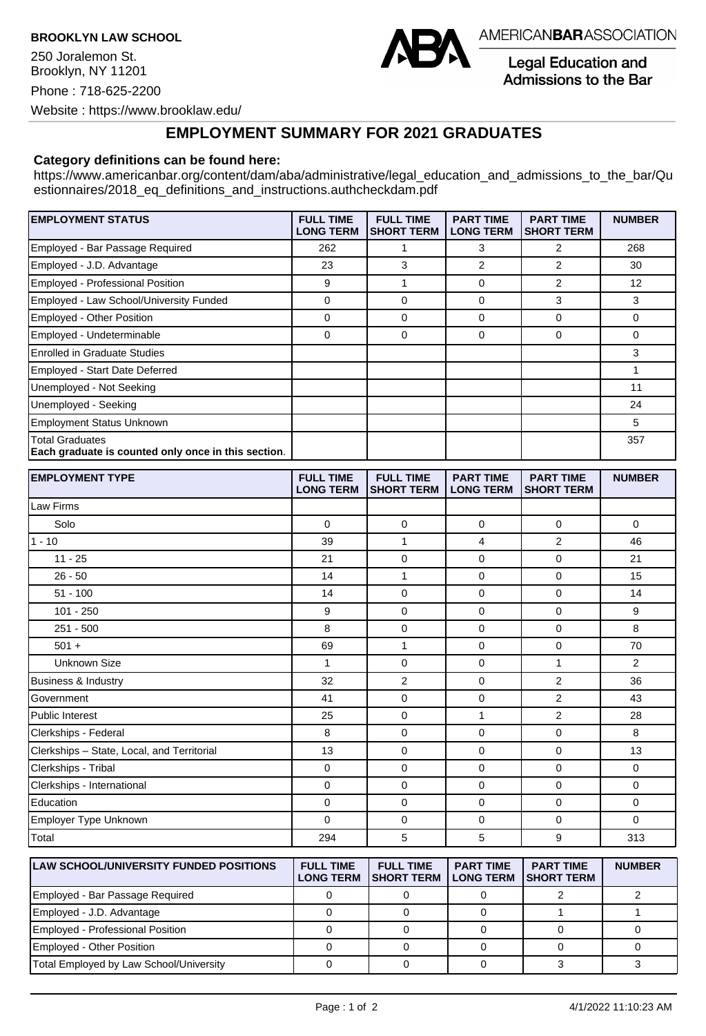**BROOKLYN LAW SCHOOL**

250 Joralemon St. Brooklyn, NY 11201 Phone : 718-625-2200 Website : https://www.brooklaw.edu/



AMERICANBARASSOCIATION

**Legal Education and** Admissions to the Bar

## **EMPLOYMENT SUMMARY FOR 2021 GRADUATES**

## **Category definitions can be found here:**

https://www.americanbar.org/content/dam/aba/administrative/legal\_education\_and\_admissions\_to\_the\_bar/Qu estionnaires/2018 eq definitions and instructions.authcheckdam.pdf

| <b>EMPLOYMENT STATUS</b>                                               | <b>FULL TIME</b><br><b>LONG TERM</b> | <b>FULL TIME</b><br><b>SHORT TERM</b> | <b>PART TIME</b><br><b>LONG TERM</b> | <b>PART TIME</b><br><b>SHORT TERM</b> | <b>NUMBER</b> |
|------------------------------------------------------------------------|--------------------------------------|---------------------------------------|--------------------------------------|---------------------------------------|---------------|
| Employed - Bar Passage Required                                        | 262                                  |                                       | 3                                    | 2                                     | 268           |
| Employed - J.D. Advantage                                              | 23                                   | 3                                     | $\overline{2}$                       | 2                                     | 30            |
| Employed - Professional Position                                       | 9                                    |                                       | $\Omega$                             | 2                                     | 12            |
| Employed - Law School/University Funded                                | 0                                    | 0                                     | $\Omega$                             | 3                                     | 3             |
| <b>Employed - Other Position</b>                                       | 0                                    | 0                                     | $\Omega$                             | 0                                     | 0             |
| Employed - Undeterminable                                              | 0                                    | 0                                     | 0                                    | 0                                     | 0             |
| Enrolled in Graduate Studies                                           |                                      |                                       |                                      |                                       | 3             |
| Employed - Start Date Deferred                                         |                                      |                                       |                                      |                                       |               |
| Unemployed - Not Seeking                                               |                                      |                                       |                                      |                                       | 11            |
| Unemployed - Seeking                                                   |                                      |                                       |                                      |                                       | 24            |
| Employment Status Unknown                                              |                                      |                                       |                                      |                                       | 5             |
| Total Graduates<br>Each graduate is counted only once in this section. |                                      |                                       |                                      |                                       | 357           |

| <b>EMPLOYMENT TYPE</b>                     | <b>FULL TIME</b><br><b>LONG TERM</b> | <b>FULL TIME</b><br><b>SHORT TERM</b> | <b>PART TIME</b><br><b>LONG TERM</b> | <b>PART TIME</b><br><b>SHORT TERM</b> | <b>NUMBER</b>  |
|--------------------------------------------|--------------------------------------|---------------------------------------|--------------------------------------|---------------------------------------|----------------|
| Law Firms                                  |                                      |                                       |                                      |                                       |                |
| Solo                                       | $\Omega$                             | $\mathbf 0$                           | 0                                    | $\mathbf 0$                           | $\Omega$       |
| $1 - 10$                                   | 39                                   | 1                                     | 4                                    | 2                                     | 46             |
| $11 - 25$                                  | 21                                   | $\mathbf 0$                           | $\mathbf 0$                          | $\mathbf 0$                           | 21             |
| $26 - 50$                                  | 14                                   | 1                                     | 0                                    | $\mathbf 0$                           | 15             |
| $51 - 100$                                 | 14                                   | $\mathbf 0$                           | $\mathbf 0$                          | $\mathbf 0$                           | 14             |
| 101 - 250                                  | 9                                    | 0                                     | 0                                    | 0                                     | 9              |
| $251 - 500$                                | 8                                    | 0                                     | 0                                    | 0                                     | 8              |
| $501 +$                                    | 69                                   | $\mathbf{1}$                          | $\mathbf 0$                          | $\mathbf 0$                           | 70             |
| <b>Unknown Size</b>                        | $\mathbf{1}$                         | $\mathbf 0$                           | $\mathbf 0$                          | 1                                     | $\overline{2}$ |
| <b>Business &amp; Industry</b>             | 32                                   | 2                                     | $\mathbf 0$                          | 2                                     | 36             |
| Government                                 | 41                                   | 0                                     | 0                                    | $\overline{2}$                        | 43             |
| Public Interest                            | 25                                   | $\mathbf 0$                           | $\mathbf{1}$                         | $\overline{2}$                        | 28             |
| Clerkships - Federal                       | 8                                    | $\mathbf 0$                           | $\mathbf 0$                          | $\mathbf 0$                           | 8              |
| Clerkships - State, Local, and Territorial | 13                                   | $\mathbf 0$                           | 0                                    | $\mathbf 0$                           | 13             |
| Clerkships - Tribal                        | 0                                    | $\mathbf 0$                           | $\mathbf 0$                          | $\mathbf 0$                           | $\mathbf 0$    |
| Clerkships - International                 | 0                                    | $\mathbf 0$                           | $\mathbf 0$                          | $\mathbf 0$                           | $\mathbf 0$    |
| Education                                  | 0                                    | 0                                     | $\mathbf 0$                          | 0                                     | $\mathbf 0$    |
| Employer Type Unknown                      | 0                                    | $\mathbf 0$                           | 0                                    | 0                                     | $\Omega$       |
| Total                                      | 294                                  | 5                                     | 5                                    | 9                                     | 313            |

| <b>ILAW SCHOOL/UNIVERSITY FUNDED POSITIONS</b> | <b>FULL TIME</b><br><b>LONG TERM</b> | <b>FULL TIME</b><br><b>ISHORT TERM</b> | <b>PART TIME</b><br><b>LONG TERM</b> | <b>PART TIME</b><br><b>ISHORT TERM</b> | <b>NUMBER</b> |
|------------------------------------------------|--------------------------------------|----------------------------------------|--------------------------------------|----------------------------------------|---------------|
| Employed - Bar Passage Required                |                                      |                                        |                                      |                                        |               |
| Employed - J.D. Advantage                      |                                      |                                        |                                      |                                        |               |
| Employed - Professional Position               |                                      |                                        |                                      |                                        |               |
| <b>Employed - Other Position</b>               |                                      |                                        |                                      |                                        |               |
| Total Employed by Law School/University        |                                      |                                        |                                      |                                        |               |